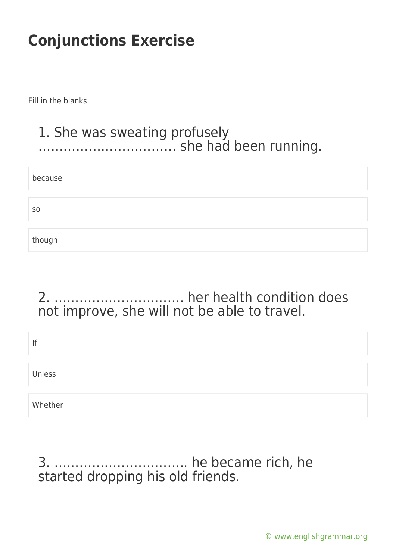Fill in the blanks.

#### 1. She was sweating profusely …………………………… she had been running.

| because        |  |  |
|----------------|--|--|
|                |  |  |
| S <sub>O</sub> |  |  |
|                |  |  |
| though         |  |  |

## 2. …………………………. her health condition does not improve, she will not be able to travel.

| lf      |  |  |
|---------|--|--|
| Unless  |  |  |
| Whether |  |  |

#### 3. ………………………….. he became rich, he started dropping his old friends.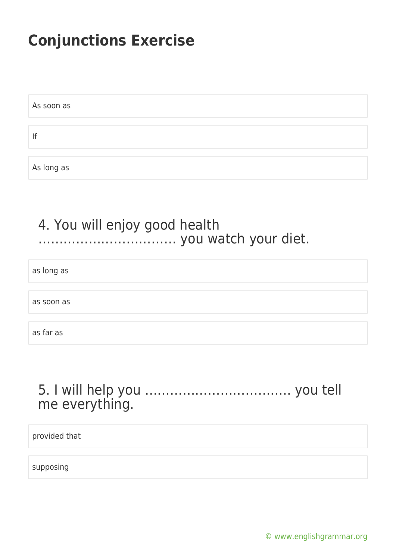As soon as If As long as

### 4. You will enjoy good health …………………………… you watch your diet.

as long as

as soon as

as far as

### 5. I will help you …………………………….. you tell me everything.

provided that

supposing

[© www.englishgrammar.org](https://www.englishgrammar.org/)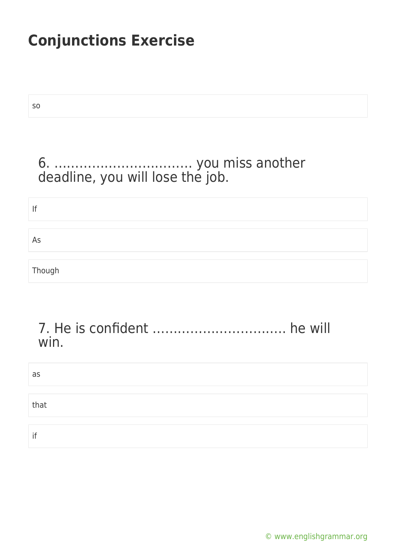so

## 6. …………………………… you miss another deadline, you will lose the job.

If As Though

#### 7. He is confident ………………………….. he will win.

| as   |  |
|------|--|
|      |  |
| that |  |
|      |  |
| if   |  |

[© www.englishgrammar.org](https://www.englishgrammar.org/)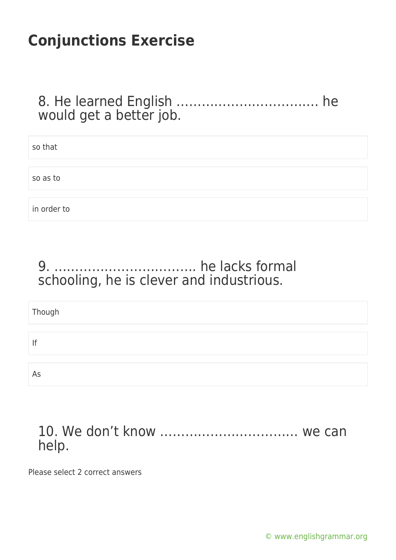## 8. He learned English ……………………………. he would get a better job.

| so that     |  |
|-------------|--|
|             |  |
| so as to    |  |
|             |  |
| in order to |  |

## 9. ……………………………. he lacks formal schooling, he is clever and industrious.

| Though |  |
|--------|--|
|        |  |
| If     |  |
|        |  |
| As     |  |

#### 10. We don't know …………………………… we can help.

Please select 2 correct answers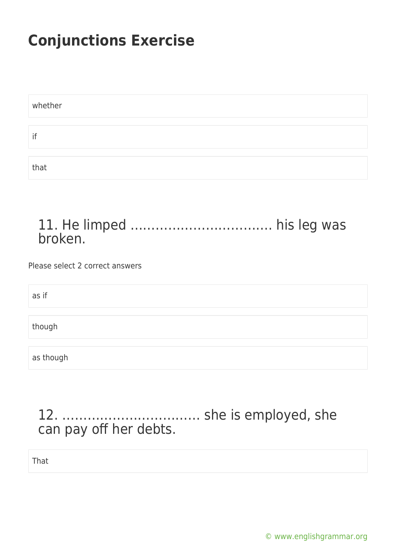| whether |  |
|---------|--|
|         |  |
| if      |  |
|         |  |
| that    |  |

#### 11. He limped ……………………………. his leg was broken.

Please select 2 correct answers

as if though as though

## 12. …………………………… she is employed, she can pay off her debts.

That